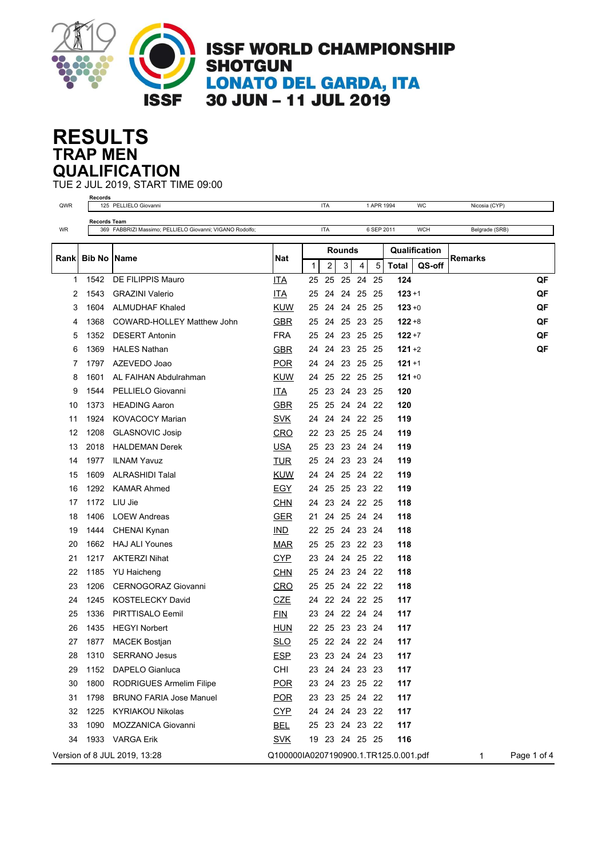

## **TRAP MEN RESULTS QUALIFICATION**

TUE 2 JUL 2019, START TIME 09:00

|      | Records             |                                                          |                                       |    | <b>ITA</b>     |                    |             |            |                                         | WC         |                |             |
|------|---------------------|----------------------------------------------------------|---------------------------------------|----|----------------|--------------------|-------------|------------|-----------------------------------------|------------|----------------|-------------|
| QWR  |                     | 125 PELLIELO Giovanni                                    |                                       |    |                |                    |             | 1 APR 1994 |                                         |            | Nicosia (CYP)  |             |
| WR   | <b>Records Team</b> | 369 FABBRIZI Massimo; PELLIELO Giovanni; VIGANO Rodolfo; |                                       |    | <b>ITA</b>     |                    |             | 6 SEP 2011 |                                         | <b>WCH</b> | Belgrade (SRB) |             |
|      |                     |                                                          |                                       |    |                |                    |             |            |                                         |            |                |             |
| Rank | <b>Bib No</b>       | Name                                                     | Nat                                   | 1  | 2              | <b>Rounds</b><br>3 | 5<br>4      |            | Qualification<br><b>Total</b><br>QS-off |            | Remarks        |             |
| 1    | 1542                | DE FILIPPIS Mauro                                        | <b>ITA</b>                            | 25 | 25             | 25                 | 24          | 25         | 124                                     |            |                | QF          |
| 2    | 1543                | <b>GRAZINI Valerio</b>                                   | <b>ITA</b>                            | 25 | 24             | 24                 | 25          | -25        | $123 + 1$                               |            |                | QF          |
| 3    | 1604                | <b>ALMUDHAF Khaled</b>                                   | <b>KUW</b>                            | 25 | 24             |                    | 24 25       | - 25       | $123 + 0$                               |            |                | QF          |
| 4    | 1368                | COWARD-HOLLEY Matthew John                               | <b>GBR</b>                            | 25 | 24             | 25                 | 23          | 25         | $122 + 8$                               |            |                | QF          |
| 5    | 1352                | <b>DESERT Antonin</b>                                    | <b>FRA</b>                            | 25 | 24             | 23                 | 25          | -25        | $122 + 7$                               |            |                | QF          |
| 6    | 1369                | <b>HALES Nathan</b>                                      | <b>GBR</b>                            | 24 | 24             |                    | 23 25 25    |            | $121 + 2$                               |            |                | QF          |
| 7    | 1797                | AZEVEDO Joao                                             | <b>POR</b>                            | 24 | 24             |                    | 23 25       | -25        | $121 + 1$                               |            |                |             |
| 8    | 1601                | AL FAIHAN Abdulrahman                                    | KUW                                   | 24 | 25             |                    | 22 25       | - 25       | $121 + 0$                               |            |                |             |
| 9    | 1544                | PELLIELO Giovanni                                        | ITA                                   | 25 | 23             |                    | 24 23 25    |            | 120                                     |            |                |             |
| 10   | 1373                | <b>HEADING Aaron</b>                                     | <b>GBR</b>                            | 25 | 25             |                    | 24 24 22    |            | 120                                     |            |                |             |
| 11   | 1924                | <b>KOVACOCY Marian</b>                                   | <b>SVK</b>                            | 24 | 24             | 24                 | 22 25       |            | 119                                     |            |                |             |
| 12   | 1208                | <b>GLASNOVIC Josip</b>                                   | CRO                                   | 22 | 23             |                    | 25 25       | -24        | 119                                     |            |                |             |
| 13   | 2018                | <b>HALDEMAN Derek</b>                                    | <b>USA</b>                            | 25 | 23             |                    | 23 24 24    |            | 119                                     |            |                |             |
| 14   | 1977                | <b>ILNAM Yavuz</b>                                       | <b>TUR</b>                            | 25 | 24             |                    | 23 23       | - 24       | 119                                     |            |                |             |
| 15   | 1609                | <b>ALRASHIDI Talal</b>                                   | <b>KUW</b>                            | 24 | 24             |                    | 25 24 22    |            | 119                                     |            |                |             |
| 16   | 1292                | <b>KAMAR Ahmed</b>                                       | <b>EGY</b>                            | 24 | 25             |                    | 25 23       | - 22       | 119                                     |            |                |             |
| 17   | 1172                | LIU Jie                                                  | <b>CHN</b>                            | 24 | 23             |                    | 24 22 25    |            | 118                                     |            |                |             |
| 18   | 1406                | <b>LOEW Andreas</b>                                      | GER                                   | 21 | 24             |                    | 25 24       | - 24       | 118                                     |            |                |             |
| 19   | 1444                | <b>CHENAI Kynan</b>                                      | IND                                   | 22 | 25             |                    | 24 23 24    |            | 118                                     |            |                |             |
| 20   | 1662                | <b>HAJ ALI Younes</b>                                    | <b>MAR</b>                            | 25 | 25             |                    | 23 22 23    |            | 118                                     |            |                |             |
| 21   | 1217                | <b>AKTERZI Nihat</b>                                     | <b>CYP</b>                            | 23 | 24             |                    | 24 25 22    |            | 118                                     |            |                |             |
| 22   | 1185                | YU Haicheng                                              | <b>CHN</b>                            | 25 | 24             |                    | 23 24       | - 22       | 118                                     |            |                |             |
| 23   | 1206                | <b>CERNOGORAZ Giovanni</b>                               | CRO                                   | 25 | 25             |                    | 24 22 22    |            | 118                                     |            |                |             |
| 24   | 1245                | <b>KOSTELECKY David</b>                                  | <b>CZE</b>                            | 24 | 22             |                    | 24 22 25    |            | 117                                     |            |                |             |
| 25   | 1336                | PIRTTISALO Eemil                                         | <b>FIN</b>                            | 23 | 24             |                    | 22 24       | - 24       | 117                                     |            |                |             |
| 26   | 1435                | <b>HEGYI Norbert</b>                                     | HUN                                   | 22 | 25             |                    | 23 23 24    |            | 117                                     |            |                |             |
| 27   | 1877                | <b>MACEK Bostjan</b>                                     | <b>SLO</b>                            | 25 |                |                    | 22 24 22 24 |            | 117                                     |            |                |             |
| 28   | 1310                | <b>SERRANO Jesus</b>                                     | <b>ESP</b>                            |    | 23 23 24 24 23 |                    |             |            | 117                                     |            |                |             |
| 29   | 1152                | DAPELO Gianluca                                          | CHI                                   | 23 |                |                    | 24 24 23 23 |            | 117                                     |            |                |             |
| 30   | 1800                | RODRIGUES Armelim Filipe                                 | <b>POR</b>                            |    | 23 24 23 25 22 |                    |             |            | 117                                     |            |                |             |
| 31   | 1798                | <b>BRUNO FARIA Jose Manuel</b>                           | <b>POR</b>                            |    | 23 23 25 24 22 |                    |             |            | 117                                     |            |                |             |
| 32   |                     | 1225 KYRIAKOU Nikolas                                    | <b>CYP</b>                            |    | 24 24 24 23 22 |                    |             |            | 117                                     |            |                |             |
| 33   | 1090                | MOZZANICA Giovanni                                       | <u>BEL</u>                            |    | 25 23 24 23 22 |                    |             |            | 117                                     |            |                |             |
| 34   |                     | 1933 VARGA Erik                                          | <b>SVK</b>                            |    | 19 23 24 25 25 |                    |             |            | 116                                     |            |                |             |
|      |                     | Version of 8 JUL 2019, 13:28                             | Q100000IA0207190900.1.TR125.0.001.pdf |    |                |                    |             |            |                                         |            | 1              | Page 1 of 4 |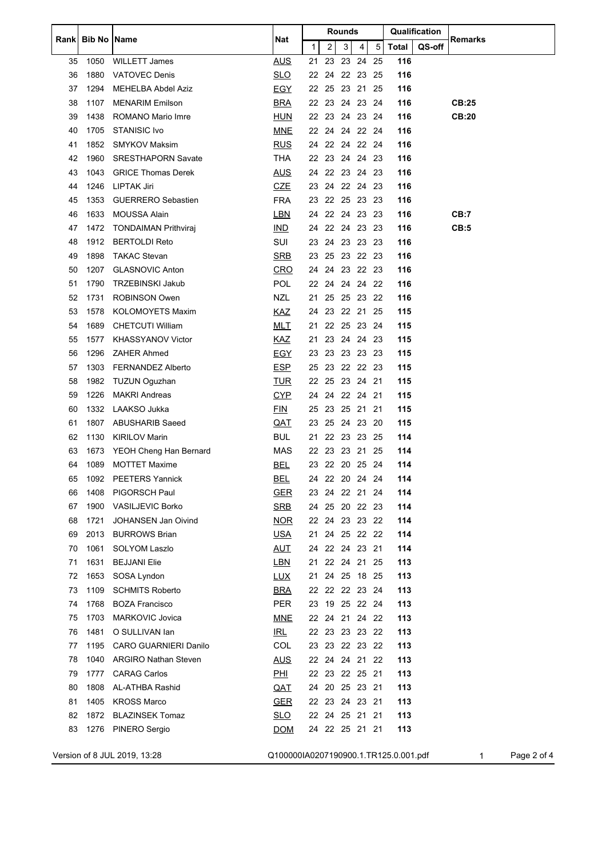| Rankl | <b>Bib No</b> | Name                         | Qualification<br>Rounds<br>Nat<br>2<br>3<br>5<br><b>Total</b><br>QS-off<br>1<br>4 | <b>Remarks</b> |             |       |                |      |     |  |                  |
|-------|---------------|------------------------------|-----------------------------------------------------------------------------------|----------------|-------------|-------|----------------|------|-----|--|------------------|
|       |               |                              |                                                                                   |                |             |       |                |      |     |  |                  |
| 35    | 1050          | <b>WILLETT James</b>         | <b>AUS</b>                                                                        | 21             | 23          | 23 24 |                | 25   | 116 |  |                  |
| 36    | 1880          | <b>VATOVEC Denis</b>         | <u>SLO</u>                                                                        |                |             |       | 22 24 22 23 25 |      | 116 |  |                  |
| 37    | 1294          | <b>MEHELBA Abdel Aziz</b>    | <u>EGY</u>                                                                        | 22             |             |       | 25 23 21 25    |      | 116 |  |                  |
| 38    | 1107          | <b>MENARIM Emilson</b>       | <b>BRA</b>                                                                        | 22             |             |       | 23 24 23 24    |      | 116 |  | CB:25            |
| 39    | 1438          | ROMANO Mario Imre            | <b>HUN</b>                                                                        |                |             |       | 22 23 24 23 24 |      | 116 |  | <b>CB:20</b>     |
| 40    | 1705          | <b>STANISIC Ivo</b>          | <b>MNE</b>                                                                        |                |             |       | 22 24 24 22 24 |      | 116 |  |                  |
| 41    | 1852          | <b>SMYKOV Maksim</b>         | <b>RUS</b>                                                                        |                |             |       | 24 22 24 22 24 |      | 116 |  |                  |
| 42    | 1960          | <b>SRESTHAPORN Savate</b>    | THA                                                                               |                |             |       | 22 23 24 24 23 |      | 116 |  |                  |
| 43    | 1043          | <b>GRICE Thomas Derek</b>    | <u>AUS</u>                                                                        | 24             |             |       | 22 23 24 23    |      | 116 |  |                  |
| 44    | 1246          | LIPTAK Jiri                  | <b>CZE</b>                                                                        | 23             |             |       | 24 22 24 23    |      | 116 |  |                  |
| 45    | 1353          | <b>GUERRERO Sebastien</b>    | <b>FRA</b>                                                                        | 23             |             |       | 22 25 23 23    |      | 116 |  |                  |
| 46    | 1633          | <b>MOUSSA Alain</b>          | <b>LBN</b>                                                                        |                |             |       | 24 22 24 23 23 |      | 116 |  | CB:7             |
| 47    | 1472          | <b>TONDAIMAN Prithviraj</b>  | <b>IND</b>                                                                        |                |             |       | 24 22 24 23 23 |      | 116 |  | CB:5             |
| 48    | 1912          | <b>BERTOLDI Reto</b>         | SUI                                                                               | 23             |             |       | 24 23 23 23    |      | 116 |  |                  |
| 49    | 1898          | <b>TAKAC Stevan</b>          | <b>SRB</b>                                                                        | 23             |             |       | 25 23 22 23    |      | 116 |  |                  |
| 50    | 1207          | <b>GLASNOVIC Anton</b>       | <b>CRO</b>                                                                        | 24             |             |       | 24 23 22 23    |      | 116 |  |                  |
| 51    | 1790          | <b>TRZEBINSKI Jakub</b>      | POL                                                                               |                |             |       | 22 24 24 24 22 |      | 116 |  |                  |
| 52    | 1731          | <b>ROBINSON Owen</b>         | <b>NZL</b>                                                                        | 21             |             |       | 25 25 23 22    |      | 116 |  |                  |
| 53    | 1578          | <b>KOLOMOYETS Maxim</b>      | KAZ                                                                               |                |             |       | 24 23 22 21 25 |      | 115 |  |                  |
| 54    | 1689          | CHETCUTI William             | <u>MLT</u>                                                                        | 21             |             |       | 22 25 23 24    |      | 115 |  |                  |
| 55    | 1577          | <b>KHASSYANOV Victor</b>     | KAZ                                                                               | 21             |             |       | 23 24 24 23    |      | 115 |  |                  |
| 56    | 1296          | ZAHER Ahmed                  | <u>EGY</u>                                                                        | 23             |             |       | 23 23 23 23    |      | 115 |  |                  |
| 57    | 1303          | <b>FERNANDEZ Alberto</b>     | <b>ESP</b>                                                                        | 25             | 23          |       | 22 22 23       |      | 115 |  |                  |
| 58    | 1982          | <b>TUZUN Oguzhan</b>         | <b>TUR</b>                                                                        |                |             |       | 22 25 23 24 21 |      | 115 |  |                  |
| 59    | 1226          | <b>MAKRI Andreas</b>         | <b>CYP</b>                                                                        | 24             |             |       | 24 22 24 21    |      | 115 |  |                  |
| 60    | 1332          | LAAKSO Jukka                 | <b>FIN</b>                                                                        |                | 25 23 25 21 |       |                | - 21 | 115 |  |                  |
| 61    | 1807          | <b>ABUSHARIB Saeed</b>       | <u>QAT</u>                                                                        |                |             |       | 23 25 24 23 20 |      | 115 |  |                  |
| 62    | 1130          | <b>KIRILOV Marin</b>         | BUL                                                                               | 21             |             |       | 22 23 23 25    |      | 114 |  |                  |
| 63    | 1673          | YEOH Cheng Han Bernard       | MAS                                                                               |                | 22 23 23 21 |       |                | 25   | 114 |  |                  |
| 64    | 1089          | <b>MOTTET Maxime</b>         | <u>BEL</u>                                                                        |                |             |       | 23 22 20 25 24 |      | 114 |  |                  |
| 65    |               | 1092 PEETERS Yannick         | BEL                                                                               |                |             |       | 24 22 20 24 24 |      | 114 |  |                  |
| 66    | 1408          | PIGORSCH Paul                | <u>GER</u>                                                                        |                |             |       | 23 24 22 21 24 |      | 114 |  |                  |
| 67    | 1900          | <b>VASILJEVIC Borko</b>      | <b>SRB</b>                                                                        |                |             |       | 24 25 20 22 23 |      | 114 |  |                  |
| 68    | 1721          | JOHANSEN Jan Oivind          | <b>NOR</b>                                                                        |                |             |       | 22 24 23 23 22 |      | 114 |  |                  |
| 69    | 2013          | <b>BURROWS Brian</b>         | <u>USA</u>                                                                        | 21             |             |       | 24 25 22 22    |      | 114 |  |                  |
| 70    | 1061          | <b>SOLYOM Laszlo</b>         | <u>AUT</u>                                                                        | 24             |             |       | 22 24 23 21    |      | 114 |  |                  |
| 71    | 1631          | <b>BEJJANI Elie</b>          | <u>LBN</u>                                                                        | 21             |             |       | 22 24 21 25    |      | 113 |  |                  |
| 72    | 1653          | SOSA Lyndon                  | <u>LUX</u>                                                                        |                |             |       | 21 24 25 18 25 |      | 113 |  |                  |
| 73    | 1109          | <b>SCHMITS Roberto</b>       | <b>BRA</b>                                                                        |                |             |       | 22 22 22 23 24 |      | 113 |  |                  |
| 74    | 1768          | <b>BOZA Francisco</b>        | <b>PER</b>                                                                        |                |             |       | 23 19 25 22 24 |      | 113 |  |                  |
| 75    | 1703          | <b>MARKOVIC Jovica</b>       | <u>MNE</u>                                                                        |                |             |       | 22 24 21 24 22 |      | 113 |  |                  |
| 76    | 1481          | O SULLIVAN Ian               | IRL                                                                               |                |             |       | 22 23 23 23 22 |      | 113 |  |                  |
| 77    | 1195          | <b>CARO GUARNIERI Danilo</b> | <b>COL</b>                                                                        | 23             |             |       | 23 22 23 22    |      | 113 |  |                  |
| 78    | 1040          | <b>ARGIRO Nathan Steven</b>  | <u>AUS</u>                                                                        |                |             |       | 22 24 24 21 22 |      | 113 |  |                  |
| 79    | 1777          | <b>CARAG Carlos</b>          | <u>PHI</u>                                                                        |                |             |       | 22 23 22 25 21 |      | 113 |  |                  |
| 80    | 1808          | <b>AL-ATHBA Rashid</b>       | <u>QAT</u>                                                                        | 24             |             |       | 20 25 23 21    |      | 113 |  |                  |
| 81    | 1405          | KROSS Marco                  | <b>GER</b>                                                                        |                |             |       | 22 23 24 23 21 |      | 113 |  |                  |
| 82    | 1872          | <b>BLAZINSEK Tomaz</b>       | $\underline{\mathsf{SLO}}$                                                        |                |             |       | 22 24 25 21 21 |      | 113 |  |                  |
| 83    | 1276          | PINERO Sergio                | <b>DOM</b>                                                                        |                |             |       | 24 22 25 21 21 |      | 113 |  |                  |
|       |               |                              |                                                                                   |                |             |       |                |      |     |  |                  |
|       |               | Version of 8 JUL 2019, 13:28 | Q100000IA0207190900.1.TR125.0.001.pdf                                             |                |             |       |                |      |     |  | Page 2 of 4<br>1 |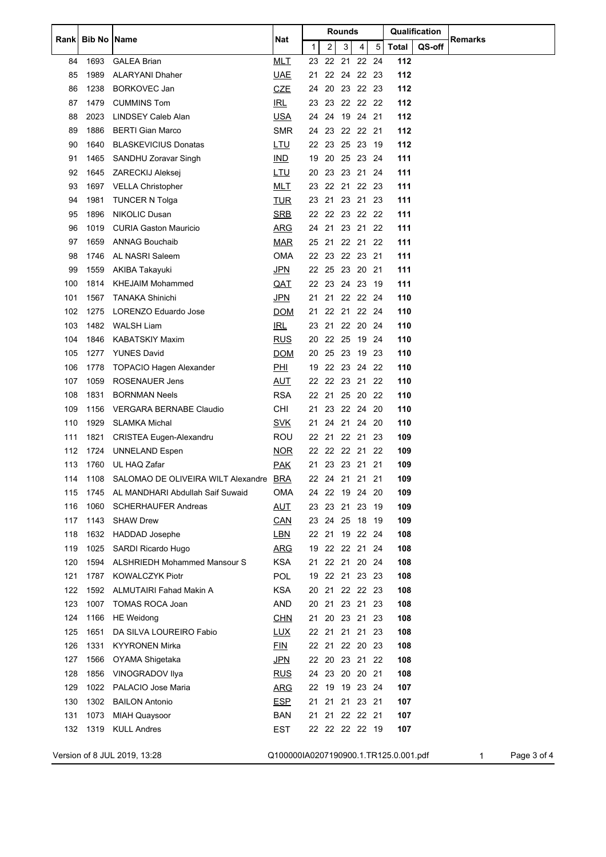| Rankl | <b>Bib No</b> | <b>Name</b>                         | Nat<br>$\mathbf{1}$                   | Rounds |  |                |          |                |       |              | Qualification | Remarks |  |             |
|-------|---------------|-------------------------------------|---------------------------------------|--------|--|----------------|----------|----------------|-------|--------------|---------------|---------|--|-------------|
|       |               |                                     |                                       |        |  | $\overline{a}$ | 3        | 4              | 5     | <b>Total</b> | QS-off        |         |  |             |
| 84    | 1693          | <b>GALEA Brian</b>                  | <b>MLT</b>                            | 23     |  | 22             | 21       |                | 22 24 | 112          |               |         |  |             |
| 85    | 1989          | <b>ALARYANI Dhaher</b>              | <b>UAE</b>                            | 21     |  |                |          | 22 24 22 23    |       | 112          |               |         |  |             |
| 86    | 1238          | <b>BORKOVEC Jan</b>                 | <b>CZE</b>                            | 24     |  |                |          | 20 23 22 23    |       | 112          |               |         |  |             |
| 87    | 1479          | <b>CUMMINS Tom</b>                  | IRL                                   | 23     |  | 23             |          | 22 22 22       |       | 112          |               |         |  |             |
| 88    | 2023          | <b>LINDSEY Caleb Alan</b>           | <u>USA</u>                            | 24     |  | 24             |          | 19 24 21       |       | 112          |               |         |  |             |
| 89    | 1886          | <b>BERTI Gian Marco</b>             | <b>SMR</b>                            |        |  |                |          | 24 23 22 22 21 |       | 112          |               |         |  |             |
| 90    | 1640          | <b>BLASKEVICIUS Donatas</b>         | <u>LTU</u>                            |        |  |                |          | 22 23 25 23 19 |       | 112          |               |         |  |             |
| 91    | 1465          | SANDHU Zoravar Singh                | IND                                   | 19     |  | 20             |          | 25 23          | -24   | 111          |               |         |  |             |
| 92    | 1645          | ZARECKIJ Aleksej                    | <u>LTU</u>                            | 20     |  | 23             | 23 21    |                | -24   | 111          |               |         |  |             |
| 93    | 1697          | <b>VELLA Christopher</b>            | <b>MLT</b>                            |        |  |                |          | 23 22 21 22 23 |       | 111          |               |         |  |             |
| 94    | 1981          | <b>TUNCER N Tolga</b>               | <b>TUR</b>                            | 23     |  | 21             |          | 23 21 23       |       | 111          |               |         |  |             |
| 95    | 1896          | NIKOLIC Dusan                       | <b>SRB</b>                            |        |  |                |          | 22 22 23 22 22 |       | 111          |               |         |  |             |
| 96    | 1019          | <b>CURIA Gaston Mauricio</b>        | <b>ARG</b>                            |        |  |                |          | 24 21 23 21 22 |       | 111          |               |         |  |             |
| 97    | 1659          | <b>ANNAG Bouchaib</b>               | <b>MAR</b>                            |        |  |                |          | 25 21 22 21 22 |       | 111          |               |         |  |             |
| 98    | 1746          | AL NASRI Saleem                     | OMA                                   | 22     |  | -23            |          | 22 23 21       |       | 111          |               |         |  |             |
| 99    | 1559          | AKIBA Takayuki                      | <u>JPN</u>                            |        |  | 22 25          |          | 23 20 21       |       | 111          |               |         |  |             |
| 100   | 1814          | <b>KHEJAIM Mohammed</b>             | <u>QAT</u>                            |        |  |                |          | 22 23 24 23 19 |       | 111          |               |         |  |             |
| 101   | 1567          | <b>TANAKA Shinichi</b>              | <u>JPN</u>                            | 21     |  | 21             |          | 22 22 24       |       | 110          |               |         |  |             |
| 102   | 1275          | LORENZO Eduardo Jose                | <b>DOM</b>                            | 21     |  |                | 22 21    |                | 22 24 | 110          |               |         |  |             |
| 103   | 1482          | <b>WALSH Liam</b>                   | IRL                                   |        |  | 23 21          |          | 22 20 24       |       | 110          |               |         |  |             |
| 104   | 1846          | <b>KABATSKIY Maxim</b>              | <b>RUS</b>                            |        |  |                |          | 20 22 25 19 24 |       | 110          |               |         |  |             |
| 105   | 1277          | <b>YUNES David</b>                  | <b>DOM</b>                            | 20     |  |                |          | 25 23 19 23    |       | 110          |               |         |  |             |
| 106   | 1778          | <b>TOPACIO Hagen Alexander</b>      | <b>PHI</b>                            | 19     |  |                |          | 22 23 24 22    |       | 110          |               |         |  |             |
| 107   | 1059          | ROSENAUER Jens                      | <b>AUT</b>                            |        |  |                |          | 22 22 23 21 22 |       | 110          |               |         |  |             |
| 108   | 1831          | <b>BORNMAN Neels</b>                | <b>RSA</b>                            |        |  | 22 21          |          | 25 20 22       |       | 110          |               |         |  |             |
| 109   | 1156          | VERGARA BERNABE Claudio             | CHI                                   | 21     |  | 23             |          | 22 24          | -20   | 110          |               |         |  |             |
| 110   | 1929          | <b>SLAMKA Michal</b>                | <u>SVK</u>                            | 21     |  | 24             | 21       | 24             | -20   | 110          |               |         |  |             |
| 111   | 1821          | <b>CRISTEA Eugen-Alexandru</b>      | <b>ROU</b>                            |        |  |                |          | 22 21 22 21 23 |       | 109          |               |         |  |             |
| 112   | 1724          | <b>UNNELAND Espen</b>               | <b>NOR</b>                            | 22     |  |                | 22 22 21 |                | 22    | 109          |               |         |  |             |
| 113   | 1760          | UL HAQ Zafar                        | <u>PAK</u>                            |        |  |                |          | 21 23 23 21    | -21   | 109          |               |         |  |             |
| 114   | 1108          | SALOMAO DE OLIVEIRA WILT Alexandre  | <b>BRA</b>                            |        |  |                |          | 22 24 21 21 21 |       | 109          |               |         |  |             |
| 115   | 1745          | AL MANDHARI Abdullah Saif Suwaid    | OMA                                   |        |  |                |          | 24 22 19 24 20 |       | 109          |               |         |  |             |
| 116   | 1060          | <b>SCHERHAUFER Andreas</b>          | <b>AUT</b>                            |        |  |                | 23 23 21 | 23             | -19   | 109          |               |         |  |             |
| 117   | 1143          | <b>SHAW Drew</b>                    | <b>CAN</b>                            |        |  |                |          | 23 24 25 18 19 |       | 109          |               |         |  |             |
| 118   | 1632          | HADDAD Josephe                      | LBN                                   |        |  |                |          | 22 21 19 22 24 |       | 108          |               |         |  |             |
| 119   | 1025          | SARDI Ricardo Hugo                  | <b>ARG</b>                            | 19     |  |                |          | 22 22 21 24    |       | 108          |               |         |  |             |
| 120   | 1594          | <b>ALSHRIEDH Mohammed Mansour S</b> | <b>KSA</b>                            |        |  |                | 21 22 21 | 20 24          |       | 108          |               |         |  |             |
| 121   | 1787          | <b>KOWALCZYK Piotr</b>              | <b>POL</b>                            |        |  |                |          | 19 22 21 23 23 |       | 108          |               |         |  |             |
| 122   | 1592          | <b>ALMUTAIRI Fahad Makin A</b>      | <b>KSA</b>                            |        |  |                |          | 20 21 22 22 23 |       | 108          |               |         |  |             |
| 123   | 1007          | <b>TOMAS ROCA Joan</b>              | <b>AND</b>                            |        |  |                |          | 20 21 23 21 23 |       | 108          |               |         |  |             |
| 124   | 1166          | <b>HE</b> Weidong                   | <b>CHN</b>                            | 21     |  |                | 20 23 21 |                | -23   | 108          |               |         |  |             |
| 125   | 1651          | DA SILVA LOUREIRO Fabio             | <b>LUX</b>                            |        |  |                |          | 22 21 21 21 23 |       | 108          |               |         |  |             |
| 126   | 1331          | <b>KYYRONEN Mirka</b>               | <b>FIN</b>                            |        |  |                |          | 22 21 22 20 23 |       | 108          |               |         |  |             |
| 127   | 1566          |                                     |                                       |        |  |                |          | 22 20 23 21 22 |       | 108          |               |         |  |             |
|       |               | OYAMA Shigetaka                     | <u>JPN</u>                            |        |  |                |          |                |       |              |               |         |  |             |
| 128   | 1856          | VINOGRADOV Ilya                     | <u>RUS</u>                            |        |  |                |          | 24 23 20 20 21 |       | 108          |               |         |  |             |
| 129   | 1022          | PALACIO Jose Maria                  | <b>ARG</b>                            |        |  |                |          | 22 19 19 23 24 |       | 107          |               |         |  |             |
| 130   | 1302          | <b>BAILON Antonio</b>               | <b>ESP</b>                            | 21     |  |                | 21 21    | 23 21          |       | 107          |               |         |  |             |
| 131   | 1073          | <b>MIAH Quaysoor</b>                | <b>BAN</b>                            |        |  |                |          | 21 21 22 22 21 |       | 107          |               |         |  |             |
| 132   | 1319          | <b>KULL Andres</b>                  | EST                                   |        |  |                |          | 22 22 22 22 19 |       | 107          |               |         |  |             |
|       |               | Version of 8 JUL 2019, 13:28        | Q100000IA0207190900.1.TR125.0.001.pdf |        |  |                |          |                |       |              |               | 1       |  | Page 3 of 4 |